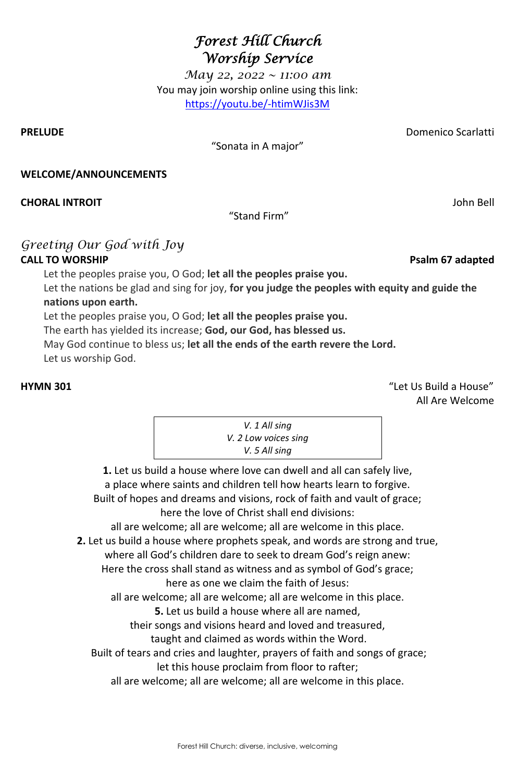Forest Hill Church: diverse, inclusive, welcoming

# *Forest Hill Church Worship Service*

*May 22, 2022 ~ 11:00 am* You may join worship online using this link: <https://youtu.be/-htimWJis3M>

**PRELUDE** Domenico Scarlatti

# "Sonata in A major"

### **WELCOME/ANNOUNCEMENTS**

**CHORAL INTROIT** John Bell

"Stand Firm"

# *Greeting Our God with Joy* **CALL TO WORSHIP Psalm 67 adapted**

Let the peoples praise you, O God; **let all the peoples praise you.** 

Let the nations be glad and sing for joy, **for you judge the peoples with equity and guide the nations upon earth.** 

Let the peoples praise you, O God; **let all the peoples praise you.** 

The earth has yielded its increase; **God, our God, has blessed us.** 

May God continue to bless us; **let all the ends of the earth revere the Lord.** 

Let us worship God.

**HYMN 301** "Let Us Build a House" All Are Welcome

> **1.** Let us build a house where love can dwell and all can safely live, a place where saints and children tell how hearts learn to forgive. Built of hopes and dreams and visions, rock of faith and vault of grace; here the love of Christ shall end divisions: all are welcome; all are welcome; all are welcome in this place.

**2.** Let us build a house where prophets speak, and words are strong and true, where all God's children dare to seek to dream God's reign anew: Here the cross shall stand as witness and as symbol of God's grace;

here as one we claim the faith of Jesus: all are welcome; all are welcome; all are welcome in this place. **5.** Let us build a house where all are named, their songs and visions heard and loved and treasured, taught and claimed as words within the Word. Built of tears and cries and laughter, prayers of faith and songs of grace; let this house proclaim from floor to rafter; all are welcome; all are welcome; all are welcome in this place.

*V. 1 All sing V. 2 Low voices sing V. 5 All sing*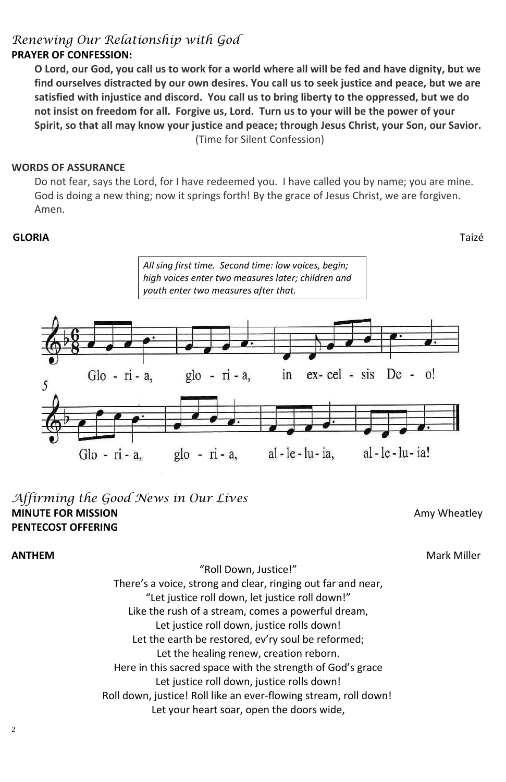2

# *Renewing Our Relationship with God*

# **PRAYER OF CONFESSION:**

O Lord, our God, you call us to work for a world where all will be fed and have dignity, but we **find ourselves distracted by our own desires. You call us to seek justice and peace, but we are satisfied with injustice and discord. You call us to bring liberty to the oppressed, but we do not insist on freedom for all. Forgive us, Lord. Turn us to your will be the power of your Spirit, so that all may know your justice and peace; through Jesus Christ, your Son, our Savior.** (Time for Silent Confession)

### **WORDS OF ASSURANCE**

Do not fear, says the Lord, for I have redeemed you. I have called you by name; you are mine. God is doing a new thing; now it springs forth! By the grace of Jesus Christ, we are forgiven. Amen.

### **GLORIA**Taizé

# *Affirming the Good News in Our Lives* **MINUTE FOR MISSION Amy Wheatley PENTECOST OFFERING**

### "Roll Down, Justice!"

### **ANTHEM** Mark Miller

There's a voice, strong and clear, ringing out far and near, "Let justice roll down, let justice roll down!" Like the rush of a stream, comes a powerful dream, Let justice roll down, justice rolls down! Let the earth be restored, ev'ry soul be reformed; Let the healing renew, creation reborn. Here in this sacred space with the strength of God's grace Let justice roll down, justice rolls down! Roll down, justice! Roll like an ever-flowing stream, roll down! Let your heart soar, open the doors wide,



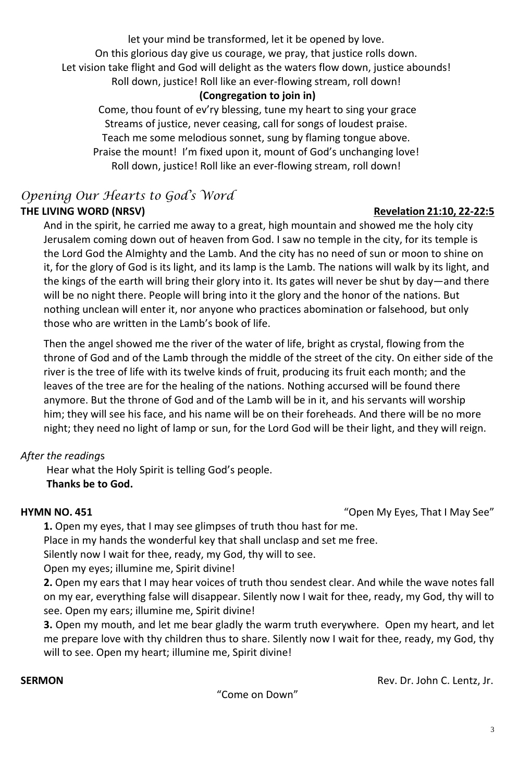let your mind be transformed, let it be opened by love.

On this glorious day give us courage, we pray, that justice rolls down.

Let vision take flight and God will delight as the waters flow down, justice abounds!

Roll down, justice! Roll like an ever-flowing stream, roll down!

# **(Congregation to join in)**

# *Opening Our Hearts to God's Word* THE LIVING WORD (NRSV) **Revelation 21:10, 22-22:5**

Come, thou fount of ev'ry blessing, tune my heart to sing your grace Streams of justice, never ceasing, call for songs of loudest praise. Teach me some melodious sonnet, sung by flaming tongue above. Praise the mount! I'm fixed upon it, mount of God's unchanging love! Roll down, justice! Roll like an ever-flowing stream, roll down!

And in the spirit, he carried me away to a great, high mountain and showed me the holy city Jerusalem coming down out of heaven from God. I saw no temple in the city, for its temple is the Lord God the Almighty and the Lamb. And the city has no need of sun or moon to shine on it, for the glory of God is its light, and its lamp is the Lamb. The nations will walk by its light, and the kings of the earth will bring their glory into it. Its gates will never be shut by day—and there will be no night there. People will bring into it the glory and the honor of the nations. But nothing unclean will enter it, nor anyone who practices abomination or falsehood, but only those who are written in the Lamb's book of life.

Then the angel showed me the river of the water of life, bright as crystal, flowing from the throne of God and of the Lamb through the middle of the street of the city. On either side of the river is the tree of life with its twelve kinds of fruit, producing its fruit each month; and the leaves of the tree are for the healing of the nations. Nothing accursed will be found there anymore. But the throne of God and of the Lamb will be in it, and his servants will worship him; they will see his face, and his name will be on their foreheads. And there will be no more night; they need no light of lamp or sun, for the Lord God will be their light, and they will reign.

# *After the reading*s

Hear what the Holy Spirit is telling God's people. **Thanks be to God.**

**HYMN NO. 451** "Open My Eyes, That I May See"

**1.** Open my eyes, that I may see glimpses of truth thou hast for me. Place in my hands the wonderful key that shall unclasp and set me free. Silently now I wait for thee, ready, my God, thy will to see. Open my eyes; illumine me, Spirit divine!

**2.** Open my ears that I may hear voices of truth thou sendest clear. And while the wave notes fall on my ear, everything false will disappear. Silently now I wait for thee, ready, my God, thy will to see. Open my ears; illumine me, Spirit divine!

**3.** Open my mouth, and let me bear gladly the warm truth everywhere. Open my heart, and let me prepare love with thy children thus to share. Silently now I wait for thee, ready, my God, thy will to see. Open my heart; illumine me, Spirit divine!

**SERMON Rev. Dr. John C. Lentz, Jr. Rev. Dr. John C. Lentz, Jr.** 

"Come on Down"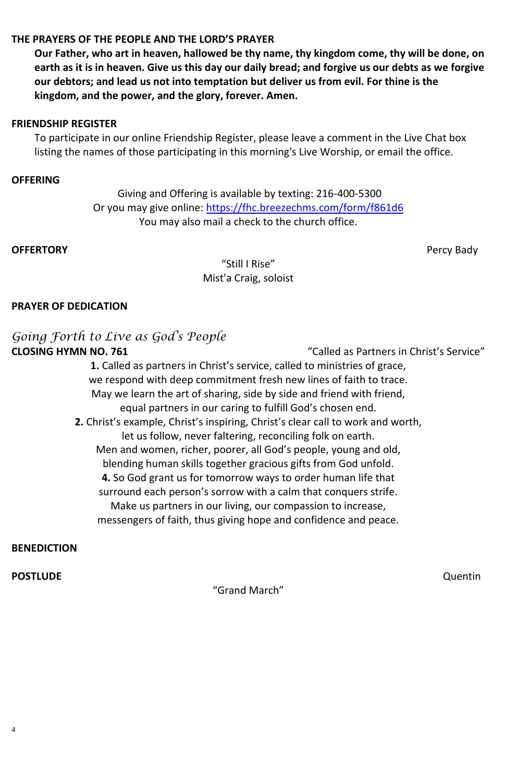4



# **THE PRAYERS OF THE PEOPLE AND THE LORD'S PRAYER**

**Our Father, who art in heaven, hallowed be thy name, thy kingdom come, thy will be done, on earth as it is in heaven. Give us this day our daily bread; and forgive us our debts as we forgive our debtors; and lead us not into temptation but deliver us from evil. For thine is the kingdom, and the power, and the glory, forever. Amen.**

## **FRIENDSHIP REGISTER**

To participate in our online Friendship Register, please leave a comment in the Live Chat box listing the names of those participating in this morning's Live Worship, or email the office.

# **OFFERING**

[Giving and Offering is available by texting: 216-400-5300](https://www.fhcpresb.org/social-justice-outreach/stewardship-2015/giving/#paypal) Or you may give online:<https://fhc.breezechms.com/form/f861d6> You may also mail a check to the church office.

# **OFFERTORY** Percy Bady

"Still I Rise" Mist'a Craig, soloist

## **PRAYER OF DEDICATION**

# *Going Forth to Live as God's People* **CLOSING HYMN NO. 761** "Called as Partners in Christ's Service"

**1.** Called as partners in Christ's service, called to ministries of grace, we respond with deep commitment fresh new lines of faith to trace. May we learn the art of sharing, side by side and friend with friend, equal partners in our caring to fulfill God's chosen end. **2.** Christ's example, Christ's inspiring, Christ's clear call to work and worth, let us follow, never faltering, reconciling folk on earth. Men and women, richer, poorer, all God's people, young and old, blending human skills together gracious gifts from God unfold. **4.** So God grant us for tomorrow ways to order human life that surround each person's sorrow with a calm that conquers strife. Make us partners in our living, our compassion to increase, messengers of faith, thus giving hope and confidence and peace.

### **BENEDICTION**

### **POSTLUDE** Quentin

### "Grand March"